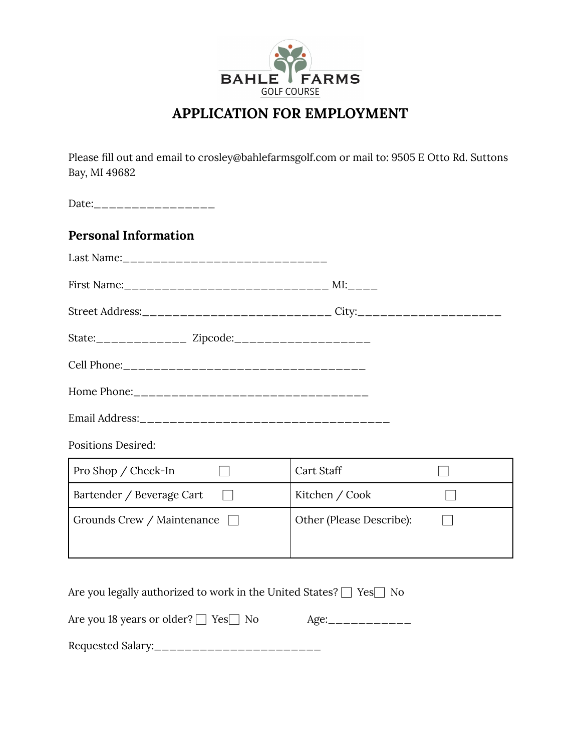

# **APPLICATION FOR EMPLOYMENT**

Please fill out and email to crosley@bahlefarmsgolf.com or mail to: 9505 E Otto Rd. Suttons Bay, MI 49682

| Date:__________________                                                          |                          |  |
|----------------------------------------------------------------------------------|--------------------------|--|
| <b>Personal Information</b>                                                      |                          |  |
|                                                                                  |                          |  |
|                                                                                  |                          |  |
| Street Address:_______________________________ City:____________________________ |                          |  |
| State:_____________ Zipcode:_____________________                                |                          |  |
|                                                                                  |                          |  |
|                                                                                  |                          |  |
|                                                                                  |                          |  |
| <b>Positions Desired:</b>                                                        |                          |  |
| Pro Shop / Check-In                                                              | Cart Staff               |  |
| Bartender / Beverage Cart                                                        | Kitchen / Cook           |  |
| Grounds Crew / Maintenance                                                       | Other (Please Describe): |  |
|                                                                                  |                          |  |

| Are you legally authorized to work in the United States? $\Box$ Yes $\Box$ No |                      |
|-------------------------------------------------------------------------------|----------------------|
| Are you 18 years or older? $\Box$ Yes $\Box$ No                               | $Age:$ _____________ |
| Requested Salary:_____                                                        |                      |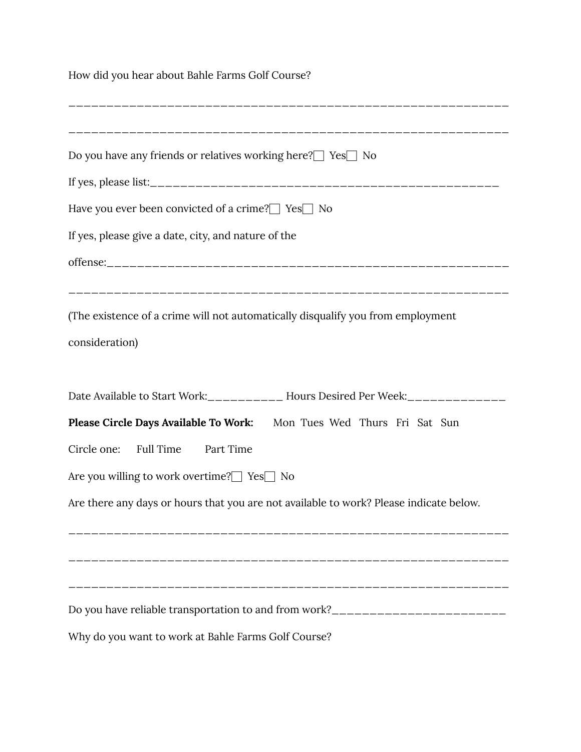How did you hear about Bahle Farms Golf Course?

| Do you have any friends or relatives working here? $\Box$ Yes $\Box$ No                |
|----------------------------------------------------------------------------------------|
|                                                                                        |
| Have you ever been convicted of a crime? $\Box$ Yes $\Box$ No                          |
| If yes, please give a date, city, and nature of the                                    |
|                                                                                        |
|                                                                                        |
| (The existence of a crime will not automatically disqualify you from employment        |
| consideration)                                                                         |
|                                                                                        |
| Date Available to Start Work: __________ Hours Desired Per Week: ___________           |
| Please Circle Days Available To Work: Mon Tues Wed Thurs Fri Sat Sun                   |
| Circle one: Full Time Part Time                                                        |
| Are you willing to work overtime? Ses No                                               |
| Are there any days or hours that you are not available to work? Please indicate below. |
|                                                                                        |
|                                                                                        |
|                                                                                        |
| Do you have reliable transportation to and from work?___________________________       |
| Why do you want to work at Bahle Farms Golf Course?                                    |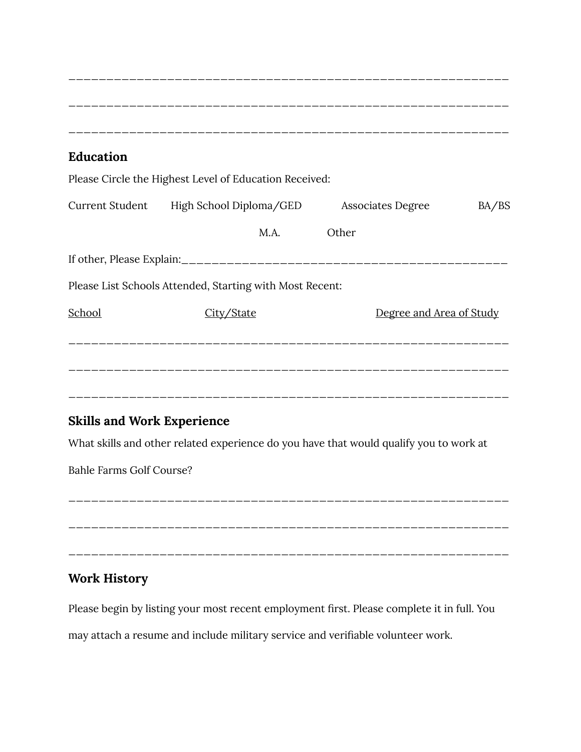| <b>Education</b>                  |                                                                                        |                          |       |
|-----------------------------------|----------------------------------------------------------------------------------------|--------------------------|-------|
|                                   | Please Circle the Highest Level of Education Received:                                 |                          |       |
|                                   | Current Student High School Diploma/GED                                                | <b>Associates Degree</b> | BA/BS |
|                                   | M.A.                                                                                   | Other                    |       |
|                                   |                                                                                        |                          |       |
|                                   | Please List Schools Attended, Starting with Most Recent:                               |                          |       |
| School                            | City/State                                                                             | Degree and Area of Study |       |
|                                   |                                                                                        |                          |       |
|                                   |                                                                                        |                          |       |
|                                   |                                                                                        |                          |       |
| <b>Skills and Work Experience</b> |                                                                                        |                          |       |
|                                   | What skills and other related experience do you have that would qualify you to work at |                          |       |
| <b>Bahle Farms Golf Course?</b>   |                                                                                        |                          |       |
|                                   |                                                                                        |                          |       |
|                                   |                                                                                        |                          |       |
|                                   |                                                                                        |                          |       |
| <b>Work History</b>               |                                                                                        |                          |       |

Please begin by listing your most recent employment first. Please complete it in full. You may attach a resume and include military service and verifiable volunteer work.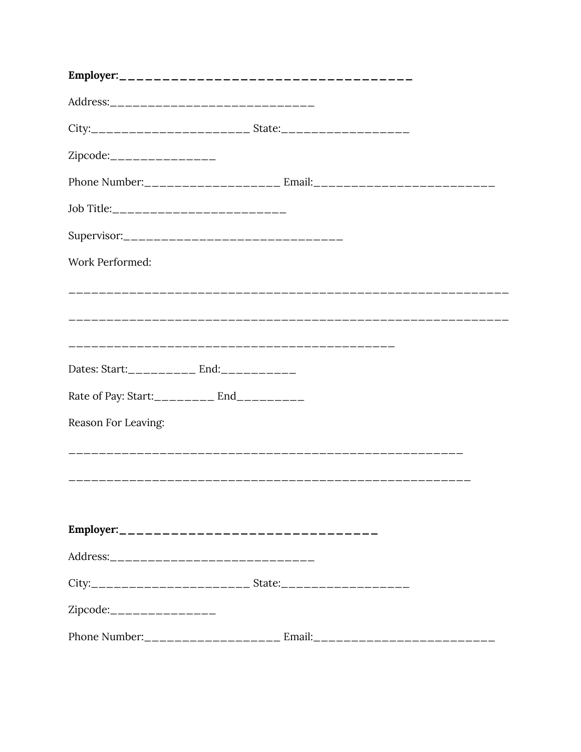| City:___________________________ State:_____________________ |  |  |  |
|--------------------------------------------------------------|--|--|--|
| Zipcode:________________                                     |  |  |  |
|                                                              |  |  |  |
|                                                              |  |  |  |
|                                                              |  |  |  |
| Work Performed:                                              |  |  |  |
|                                                              |  |  |  |
| Dates: Start: __________ End: __________                     |  |  |  |
| Rate of Pay: Start:_________ End_________                    |  |  |  |
| Reason For Leaving:                                          |  |  |  |
|                                                              |  |  |  |
|                                                              |  |  |  |
| Address:__________________________________                   |  |  |  |
| City:__________________________ State:____________________   |  |  |  |
| Zipcode:_______________                                      |  |  |  |
|                                                              |  |  |  |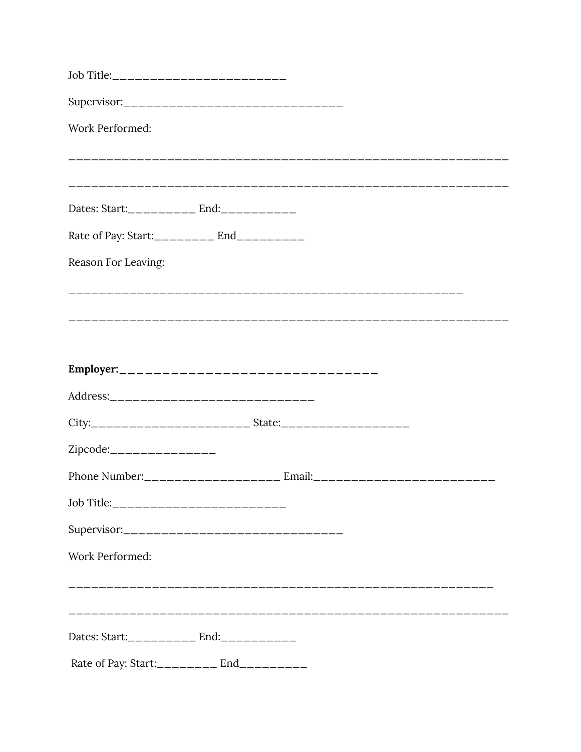| Work Performed:                                            |  |  |
|------------------------------------------------------------|--|--|
|                                                            |  |  |
| Dates: Start:___________ End:___________                   |  |  |
| Rate of Pay: Start:_________ End_________                  |  |  |
| Reason For Leaving:                                        |  |  |
|                                                            |  |  |
|                                                            |  |  |
|                                                            |  |  |
|                                                            |  |  |
|                                                            |  |  |
| City:__________________________ State:____________________ |  |  |
| Zipcode:_______________                                    |  |  |
|                                                            |  |  |
|                                                            |  |  |
|                                                            |  |  |
| Work Performed:                                            |  |  |
|                                                            |  |  |
| Dates: Start:___________ End:__________                    |  |  |
| Rate of Pay: Start:_________ End_________                  |  |  |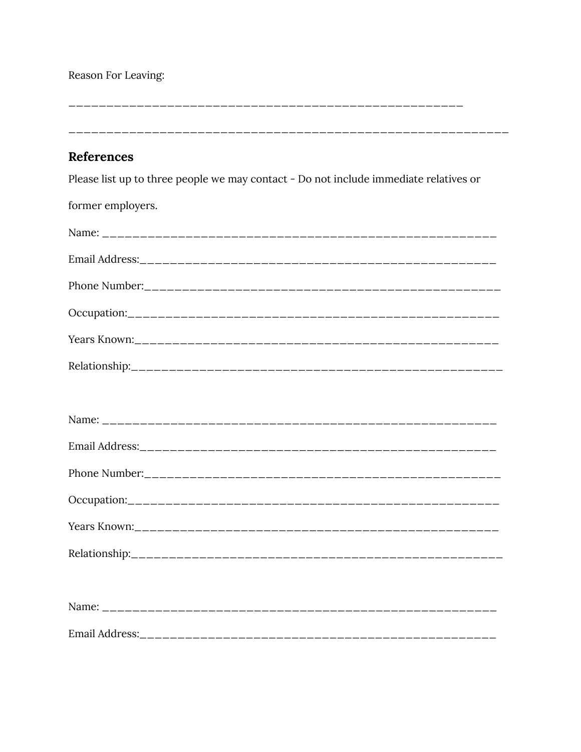### Reason For Leaving:

### **References**

Please list up to three people we may contact - Do not include immediate relatives or

| former employers. |  |
|-------------------|--|
|                   |  |
|                   |  |
|                   |  |
|                   |  |
|                   |  |
|                   |  |
|                   |  |

| Name:          |  |
|----------------|--|
|                |  |
| Email Address: |  |